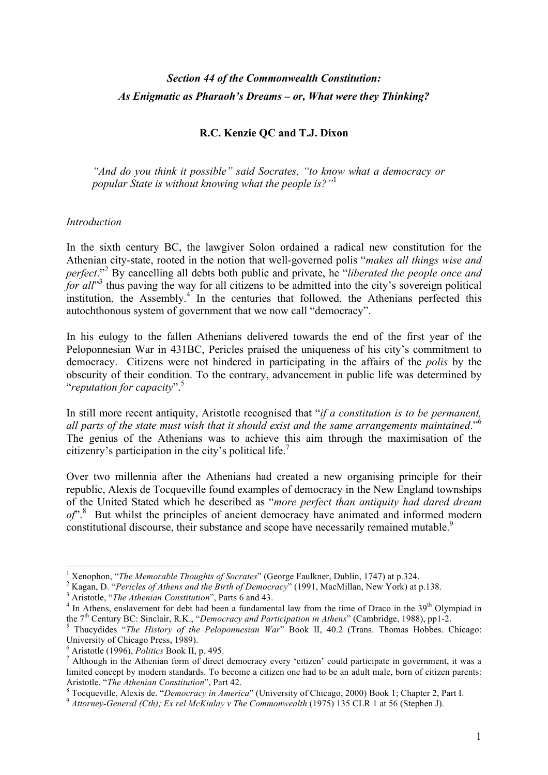# *Section 44 of the Commonwealth Constitution: As Enigmatic as Pharaoh's Dreams – or, What were they Thinking?*

### **R.C. Kenzie QC and T.J. Dixon**

*"And do you think it possible" said Socrates, "to know what a democracy or popular State is without knowing what the people is?"*<sup>1</sup>

#### *Introduction*

In the sixth century BC, the lawgiver Solon ordained a radical new constitution for the Athenian city-state, rooted in the notion that well-governed polis "*makes all things wise and perfect*."<sup>2</sup> By cancelling all debts both public and private, he "*liberated the people once and*  for all<sup>"3</sup> thus paving the way for all citizens to be admitted into the city's sovereign political institution, the Assembly.<sup>4</sup> In the centuries that followed, the Athenians perfected this autochthonous system of government that we now call "democracy".

In his eulogy to the fallen Athenians delivered towards the end of the first year of the Peloponnesian War in 431BC, Pericles praised the uniqueness of his city's commitment to democracy. Citizens were not hindered in participating in the affairs of the *polis* by the obscurity of their condition. To the contrary, advancement in public life was determined by "*reputation for capacity*".<sup>5</sup>

In still more recent antiquity, Aristotle recognised that "*if a constitution is to be permanent, all parts of the state must wish that it should exist and the same arrangements maintained*." 6 The genius of the Athenians was to achieve this aim through the maximisation of the citizenry's participation in the city's political life.<sup>7</sup>

Over two millennia after the Athenians had created a new organising principle for their republic, Alexis de Tocqueville found examples of democracy in the New England townships of the United Stated which he described as "*more perfect than antiquity had dared dream*  of<sup>".8</sup> But whilst the principles of ancient democracy have animated and informed modern constitutional discourse, their substance and scope have necessarily remained mutable.<sup>9</sup>

<sup>&</sup>lt;sup>1</sup> Xenophon, "*The Memorable Thoughts of Socrates*" (George Faulkner, Dublin, 1747) at p.324.<br><sup>2</sup> Kagan, D. "*Pericles of Athens and the Birth of Democracy*" (1991, MacMillan, New York) at p.138.<br><sup>3</sup> Aristotle, "*The Ath* 

<sup>&</sup>lt;sup>5</sup> Thucydides "*The History of the Peloponnesian War*" Book II, 40.2 (Trans. Thomas Hobbes. Chicago: University of Chicago Press, 1989).<br>
<sup>6</sup> Aristotle (1996), *Politics* Book II, p. 495.

<sup>&</sup>lt;sup>7</sup> Although in the Athenian form of direct democracy every 'citizen' could participate in government, it was a limited concept by modern standards. To become a citizen one had to be an adult male, born of citizen parents: Aristotle. "The Athenian Constitution", Part 42.<br><sup>8</sup> Tocqueville, Alexis de. "Democracy in America" (University of Chicago, 2000) Book 1; Chapter 2, Part I.<br><sup>9</sup> Attorney-General (Cth); Ex rel McKinlay v The Commonwealth (1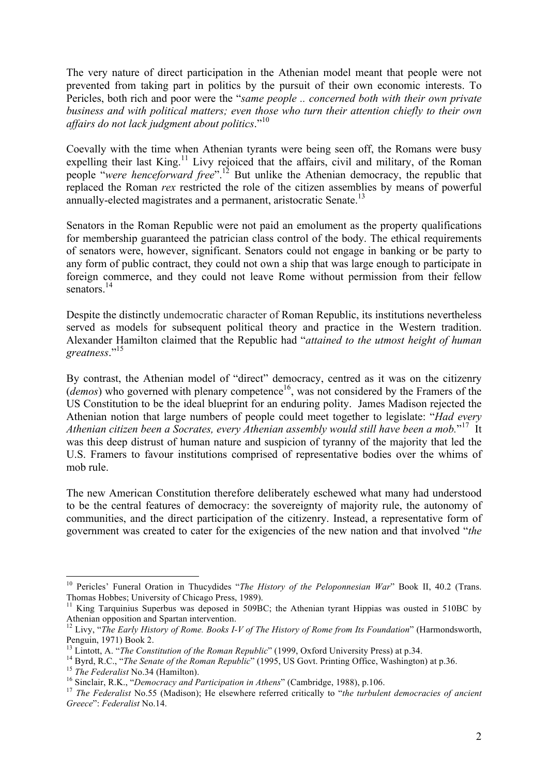The very nature of direct participation in the Athenian model meant that people were not prevented from taking part in politics by the pursuit of their own economic interests. To Pericles, both rich and poor were the "*same people .. concerned both with their own private business and with political matters; even those who turn their attention chiefly to their own affairs do not lack judgment about politics*."<sup>10</sup>

Coevally with the time when Athenian tyrants were being seen off, the Romans were busy expelling their last King.<sup>11</sup> Livy rejoiced that the affairs, civil and military, of the Roman people "*were henceforward free*".12 But unlike the Athenian democracy, the republic that replaced the Roman *rex* restricted the role of the citizen assemblies by means of powerful annually-elected magistrates and a permanent, aristocratic Senate.<sup>13</sup>

Senators in the Roman Republic were not paid an emolument as the property qualifications for membership guaranteed the patrician class control of the body. The ethical requirements of senators were, however, significant. Senators could not engage in banking or be party to any form of public contract, they could not own a ship that was large enough to participate in foreign commerce, and they could not leave Rome without permission from their fellow senators<sup>14</sup>

Despite the distinctly undemocratic character of Roman Republic, its institutions nevertheless served as models for subsequent political theory and practice in the Western tradition. Alexander Hamilton claimed that the Republic had "*attained to the utmost height of human greatness*."15

By contrast, the Athenian model of "direct" democracy, centred as it was on the citizenry (*demos*) who governed with plenary competence<sup>16</sup>, was not considered by the Framers of the US Constitution to be the ideal blueprint for an enduring polity. James Madison rejected the Athenian notion that large numbers of people could meet together to legislate: "*Had every Athenian citizen been a Socrates, every Athenian assembly would still have been a mob.*" 17 It was this deep distrust of human nature and suspicion of tyranny of the majority that led the U.S. Framers to favour institutions comprised of representative bodies over the whims of mob rule.

The new American Constitution therefore deliberately eschewed what many had understood to be the central features of democracy: the sovereignty of majority rule, the autonomy of communities, and the direct participation of the citizenry. Instead, a representative form of government was created to cater for the exigencies of the new nation and that involved "*the* 

<sup>&</sup>lt;sup>10</sup> Pericles' Funeral Oration in Thucydides "*The History of the Peloponnesian War*" Book II, 40.2 (Trans.

Thomas Hobbes; University of Chicago Press, 1989).<br><sup>11</sup> King Tarquinius Superbus was deposed in 509BC; the Athenian tyrant Hippias was ousted in 510BC by<br>Athenian opposition and Spartan intervention.

<sup>&</sup>lt;sup>12</sup> Livy, "*The Early History of Rome. Books I-V of The History of Rome from Its Foundation*" (Harmondsworth, Penguin, 1971) Book 2.<br><sup>13</sup> Lintott, A. "*The Constitution of the Roman Republic*" (1999, Oxford University Press) at p.34.

<sup>&</sup>lt;sup>14</sup> Byrd, R.C., "*The Senate of the Roman Republic*" (1995, US Govt. Printing Office, Washington) at p.36.<br><sup>15</sup> *The Federalist* No.34 (Hamilton).<br><sup>16</sup> Sinclair, R.K., "Democracy and Participation in Athens" (Cambridge, 1 *Greece*": *Federalist* No.14.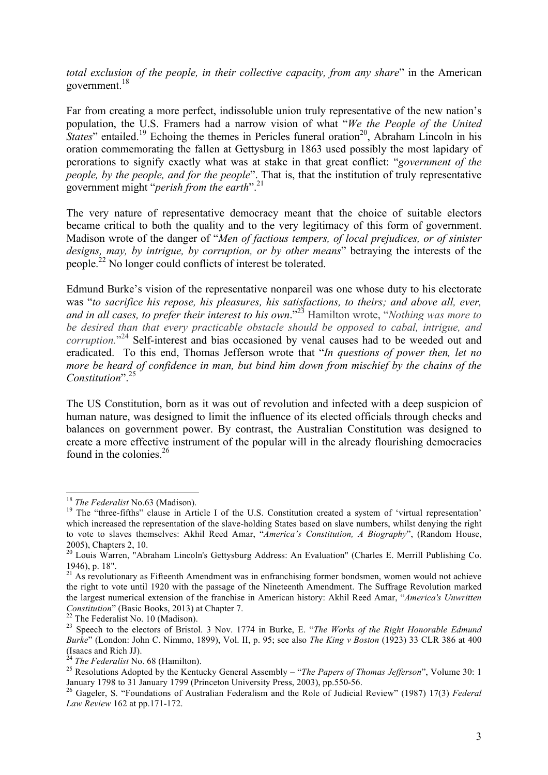*total exclusion of the people, in their collective capacity, from any share*" in the American government. $18$ 

Far from creating a more perfect, indissoluble union truly representative of the new nation's population, the U.S. Framers had a narrow vision of what "*We the People of the United States*" entailed.<sup>19</sup> Echoing the themes in Pericles funeral oration<sup>20</sup>, Abraham Lincoln in his oration commemorating the fallen at Gettysburg in 1863 used possibly the most lapidary of perorations to signify exactly what was at stake in that great conflict: "*government of the people, by the people, and for the people*". That is, that the institution of truly representative government might "*perish from the earth*". 21

The very nature of representative democracy meant that the choice of suitable electors became critical to both the quality and to the very legitimacy of this form of government. Madison wrote of the danger of "*Men of factious tempers, of local prejudices, or of sinister designs, may, by intrigue, by corruption, or by other means*" betraying the interests of the people.<sup>22</sup> No longer could conflicts of interest be tolerated.

Edmund Burke's vision of the representative nonpareil was one whose duty to his electorate was "*to sacrifice his repose, his pleasures, his satisfactions, to theirs; and above all, ever, and in all cases, to prefer their interest to his own*."23 Hamilton wrote, "*Nothing was more to be desired than that every practicable obstacle should be opposed to cabal, intrigue, and corruption.*" <sup>24</sup> Self-interest and bias occasioned by venal causes had to be weeded out and eradicated. To this end, Thomas Jefferson wrote that "*In questions of power then, let no more be heard of confidence in man, but bind him down from mischief by the chains of the Constitution*".<sup>25</sup>

The US Constitution, born as it was out of revolution and infected with a deep suspicion of human nature, was designed to limit the influence of its elected officials through checks and balances on government power. By contrast, the Australian Constitution was designed to create a more effective instrument of the popular will in the already flourishing democracies found in the colonies.<sup>26</sup>

<sup>&</sup>lt;sup>18</sup> *The Federalist* No.63 (Madison).<br><sup>19</sup> The "three-fifths" clause in Article I of the U.S. Constitution created a system of 'virtual representation' which increased the representation of the slave-holding States based on slave numbers, whilst denying the right to vote to slaves themselves: Akhil Reed Amar, "*America's Constitution, A Biography*", (Random House, 2005), Chapters 2, 10.

<sup>&</sup>lt;sup>20</sup> Louis Warren, "Abraham Lincoln's Gettysburg Address: An Evaluation" (Charles E. Merrill Publishing Co. 1946), p. 18".

 $21$  As revolutionary as Fifteenth Amendment was in enfranchising former bondsmen, women would not achieve the right to vote until 1920 with the passage of the Nineteenth Amendment. The Suffrage Revolution marked the largest numerical extension of the franchise in American history: Akhil Reed Amar, "*America's Unwritten Constitution*" (Basic Books, 2013) at Chapter 7.<br><sup>22</sup> The Federalist No. 10 (Madison).<br><sup>23</sup> Speech to the electors of Bristol. 3 Nov. 1774 in Burke, E. "*The Works of the Right Honorable Edmund* 

*Burke*" (London: John C. Nimmo, 1899), Vol. II, p. 95; see also *The King v Boston* (1923) 33 CLR 386 at 400 (Isaacs and Rich JJ).<br> $^{24}$  The Federalist No. 68 (Hamilton).

<sup>&</sup>lt;sup>25</sup> Resolutions Adopted by the Kentucky General Assembly – "*The Papers of Thomas Jefferson*", Volume 30: 1 January 1798 to 31 January 1799 (Princeton University Press, 2003), pp.550-56. <sup>26</sup> Gageler, S. "Foundations of Australian Federalism and the Role of Judicial Review" (1987) 17(3) *Federal* 

*Law Review* 162 at pp.171-172.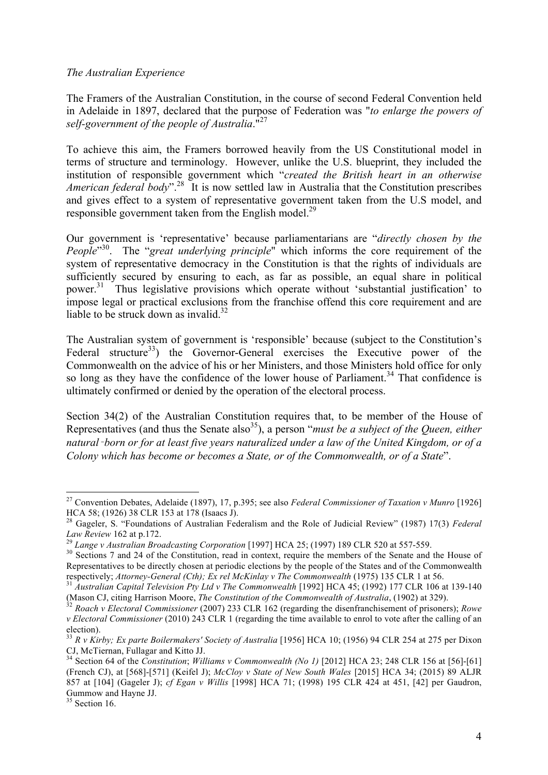#### *The Australian Experience*

The Framers of the Australian Constitution, in the course of second Federal Convention held in Adelaide in 1897, declared that the purpose of Federation was "*to enlarge the powers of self-government of the people of Australia*."27

To achieve this aim, the Framers borrowed heavily from the US Constitutional model in terms of structure and terminology. However, unlike the U.S. blueprint, they included the institution of responsible government which "*created the British heart in an otherwise American federal body*".<sup>28</sup> It is now settled law in Australia that the Constitution prescribes and gives effect to a system of representative government taken from the U.S model, and responsible government taken from the English model.<sup>29</sup>

Our government is 'representative' because parliamentarians are "*directly chosen by the People*" 30. The "*great underlying principle*" which informs the core requirement of the system of representative democracy in the Constitution is that the rights of individuals are sufficiently secured by ensuring to each, as far as possible, an equal share in political power.<sup>31</sup> Thus legislative provisions which operate without 'substantial justification' to impose legal or practical exclusions from the franchise offend this core requirement and are liable to be struck down as invalid. $32$ 

The Australian system of government is 'responsible' because (subject to the Constitution's Federal structure<sup>33</sup>) the Governor-General exercises the Executive power of the Commonwealth on the advice of his or her Ministers, and those Ministers hold office for only so long as they have the confidence of the lower house of Parliament.<sup>34</sup> That confidence is ultimately confirmed or denied by the operation of the electoral process.

Section 34(2) of the Australian Constitution requires that, to be member of the House of Representatives (and thus the Senate also<sup>35</sup>), a person "*must be a subject of the Queen, either natural*‑*born or for at least five years naturalized under a law of the United Kingdom, or of a Colony which has become or becomes a State, or of the Commonwealth, or of a State*".

 <sup>27</sup> Convention Debates, Adelaide (1897), 17, p.395; see also *Federal Commissioner of Taxation v Munro* [1926] HCA 58; (1926) 38 CLR 153 at 178 (Isaacs J).

<sup>28</sup> Gageler, S. "Foundations of Australian Federalism and the Role of Judicial Review" (1987) 17(3) *Federal*  Law Review 162 at p.172.<br><sup>29</sup> Lange v Australian Broadcasting Corporation [1997] HCA 25; (1997) 189 CLR 520 at 557-559.<br><sup>30</sup> Sections 7 and 24 of the Constitution, read in context, require the members of the Senate and the

Representatives to be directly chosen at periodic elections by the people of the States and of the Commonwealth respectively; Attorney-General (Cth); Ex rel McKinlay v The Commonwealth (1975) 135 CLR 1 at 56.

<sup>&</sup>lt;sup>31</sup> Australian Capital Television Pty Ltd v The Commonwealth [1992] HCA 45; (1992) 177 CLR 106 at 139-140 (Mason CJ, citing Harrison Moore, *The Constitution of the Commonwealth of Australia*, (1902) at 329).

 $32$  Roach v Electoral Commissioner (2007) 233 CLR 162 (regarding the disenfranchisement of prisoners); Rowe *v Electoral Commissioner* (2010) 243 CLR 1 (regarding the time available to enrol to vote after the calling of an election).

<sup>33</sup> *R v Kirby; Ex parte Boilermakers' Society of Australia* [1956] HCA 10; (1956) 94 CLR 254 at 275 per Dixon CJ, McTiernan, Fullagar and Kitto JJ.

<sup>34</sup> Section 64 of the *Constitution*; *Williams v Commonwealth (No 1)* [2012] HCA 23; 248 CLR 156 at [56]-[61] (French CJ), at [568]-[571] (Keifel J); *McCloy v State of New South Wales* [2015] HCA 34; (2015) 89 ALJR 857 at [104] (Gageler J); *cf Egan v Willis* [1998] HCA 71; (1998) 195 CLR 424 at 451, [42] per Gaudron, Gummow and Hayne JJ.

 $35$  Section 16.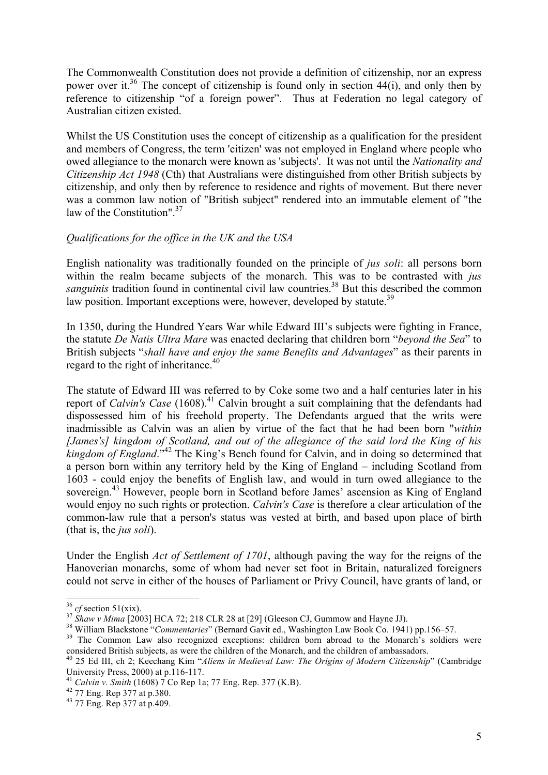The Commonwealth Constitution does not provide a definition of citizenship, nor an express power over it.<sup>36</sup> The concept of citizenship is found only in section 44(i), and only then by reference to citizenship "of a foreign power". Thus at Federation no legal category of Australian citizen existed.

Whilst the US Constitution uses the concept of citizenship as a qualification for the president and members of Congress, the term 'citizen' was not employed in England where people who owed allegiance to the monarch were known as 'subjects'. It was not until the *Nationality and Citizenship Act 1948* (Cth) that Australians were distinguished from other British subjects by citizenship, and only then by reference to residence and rights of movement. But there never was a common law notion of "British subject" rendered into an immutable element of "the law of the Constitution".<sup>37</sup>

### *Qualifications for the office in the UK and the USA*

English nationality was traditionally founded on the principle of *jus soli*: all persons born within the realm became subjects of the monarch. This was to be contrasted with *jus sanguinis* tradition found in continental civil law countries.<sup>38</sup> But this described the common law position. Important exceptions were, however, developed by statute.<sup>39</sup>

In 1350, during the Hundred Years War while Edward III's subjects were fighting in France, the statute *De Natis Ultra Mare* was enacted declaring that children born "*beyond the Sea*" to British subjects "*shall have and enjoy the same Benefits and Advantages*" as their parents in regard to the right of inheritance.<sup>40</sup>

The statute of Edward III was referred to by Coke some two and a half centuries later in his report of *Calvin's Case* (1608).<sup>41</sup> Calvin brought a suit complaining that the defendants had dispossessed him of his freehold property. The Defendants argued that the writs were inadmissible as Calvin was an alien by virtue of the fact that he had been born "*within [James's] kingdom of Scotland, and out of the allegiance of the said lord the King of his kingdom of England*."<sup>42</sup> The King's Bench found for Calvin, and in doing so determined that a person born within any territory held by the King of England – including Scotland from 1603 - could enjoy the benefits of English law, and would in turn owed allegiance to the sovereign.<sup>43</sup> However, people born in Scotland before James' ascension as King of England would enjoy no such rights or protection. *Calvin's Case* is therefore a clear articulation of the common-law rule that a person's status was vested at birth, and based upon place of birth (that is, the *jus soli*).

Under the English *Act of Settlement of 1701*, although paving the way for the reigns of the Hanoverian monarchs, some of whom had never set foot in Britain, naturalized foreigners could not serve in either of the houses of Parliament or Privy Council, have grants of land, or

<sup>&</sup>lt;sup>36</sup> cf section 51(xix).<br><sup>37</sup> Shaw v Mima [2003] HCA 72; 218 CLR 28 at [29] (Gleeson CJ, Gummow and Hayne JJ).<br><sup>38</sup> William Blackstone "Commentaries" (Bernard Gavit ed., Washington Law Book Co. 1941) pp.156–57.<br><sup>39</sup> The C

considered British subjects, as were the children of the Monarch, and the children of ambassadors.

<sup>40 25</sup> Ed III, ch 2; Keechang Kim "*Aliens in Medieval Law: The Origins of Modern Citizenship*" (Cambridge University Press, 2000) at p.116-117.

<sup>&</sup>lt;sup>41</sup> *Calvin v. Smith* (1608) 7 Co Rep 1a; 77 Eng. Rep. 377 (K.B).<br><sup>42</sup> 77 Eng. Rep 377 at p.380. <sup>43</sup> 77 Eng. Rep 377 at p.409.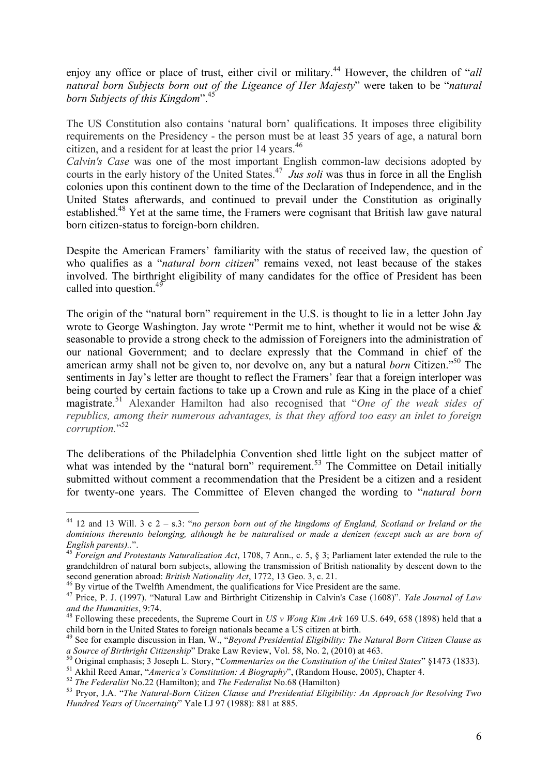enjoy any office or place of trust, either civil or military.<sup>44</sup> However, the children of "*all*" *natural born Subjects born out of the Ligeance of Her Majesty*" were taken to be "*natural born Subjects of this Kingdom*".45

The US Constitution also contains 'natural born' qualifications. It imposes three eligibility requirements on the Presidency - the person must be at least 35 years of age, a natural born citizen, and a resident for at least the prior 14 years.<sup>46</sup>

*Calvin's Case* was one of the most important English common-law decisions adopted by courts in the early history of the United States.<sup>47</sup> *Jus soli* was thus in force in all the English colonies upon this continent down to the time of the Declaration of Independence, and in the United States afterwards, and continued to prevail under the Constitution as originally established.<sup>48</sup> Yet at the same time, the Framers were cognisant that British law gave natural born citizen-status to foreign-born children.

Despite the American Framers' familiarity with the status of received law, the question of who qualifies as a "*natural born citizen*" remains vexed, not least because of the stakes involved. The birthright eligibility of many candidates for the office of President has been called into question.<sup>49</sup>

The origin of the "natural born" requirement in the U.S. is thought to lie in a letter John Jay wrote to George Washington. Jay wrote "Permit me to hint, whether it would not be wise & seasonable to provide a strong check to the admission of Foreigners into the administration of our national Government; and to declare expressly that the Command in chief of the american army shall not be given to, nor devolve on, any but a natural *born* Citizen."50 The sentiments in Jay's letter are thought to reflect the Framers' fear that a foreign interloper was being courted by certain factions to take up a Crown and rule as King in the place of a chief magistrate.<sup>51</sup> Alexander Hamilton had also recognised that "*One of the weak sides of republics, among their numerous advantages, is that they afford too easy an inlet to foreign corruption.*" 52

The deliberations of the Philadelphia Convention shed little light on the subject matter of what was intended by the "natural born" requirement.<sup>53</sup> The Committee on Detail initially submitted without comment a recommendation that the President be a citizen and a resident for twenty-one years. The Committee of Eleven changed the wording to "*natural born* 

 <sup>44</sup> 12 and 13 Will. 3 c 2 – s.3: "*no person born out of the kingdoms of England, Scotland or Ireland or the dominions thereunto belonging, although he be naturalised or made a denizen (except such as are born of English parents)..*". <sup>45</sup> *Foreign and Protestants Naturalization Act*, 1708, 7 Ann., c. 5, § 3; Parliament later extended the rule to the

grandchildren of natural born subjects, allowing the transmission of British nationality by descent down to the

second generation abroad: *British Nationality Act*, 1772, 13 Geo. 3, c. 21.<br><sup>46</sup> By virtue of the Twelfth Amendment, the qualifications for Vice President are the same.<br><sup>47</sup> Price, P. J. (1997). "Natural Law and Birthrigh

<sup>&</sup>lt;sup>48</sup> Following these precedents, the Supreme Court in *US v Wong Kim Ark* 169 U.S. 649, 658 (1898) held that a child born in the United States to foreign nationals became a US citizen at birth.

<sup>&</sup>lt;sup>49</sup> See for example discussion in Han, W., "*Beyond Presidential Eligibility: The Natural Born Citizen Clause as a Source of Birthright Citizenship" Drake Law Review, Vol. 58, No. 2, (2010) at 463.* 

a board every Britan emergency Branch L. Story, "Commentaries on the Constitution of the United States" §1473 (1833).<br>
<sup>51</sup> Akhil Reed Amar, "America's Constitution: A Biography", (Random House, 2005), Chapter 4.<br>
<sup>52</sup> The

*Hundred Years of Uncertainty*" Yale LJ 97 (1988): 881 at 885.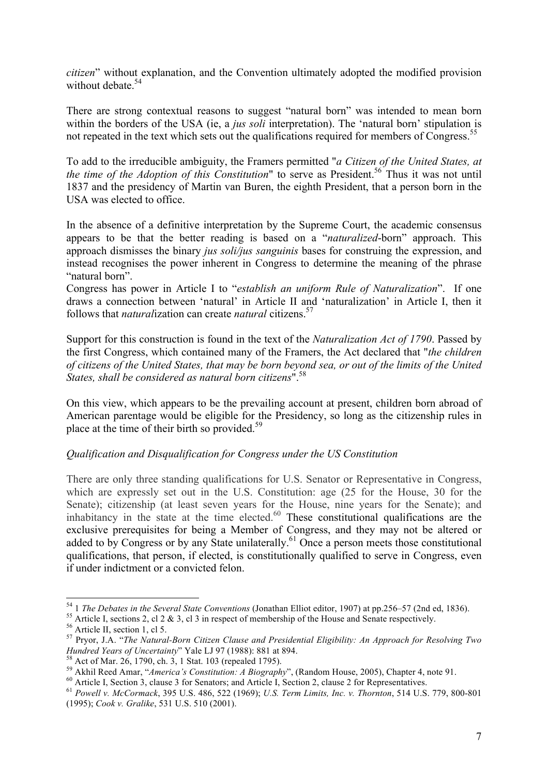*citizen*" without explanation, and the Convention ultimately adopted the modified provision without debate.<sup>54</sup>

There are strong contextual reasons to suggest "natural born" was intended to mean born within the borders of the USA (ie, a *jus soli* interpretation). The 'natural born' stipulation is not repeated in the text which sets out the qualifications required for members of Congress.<sup>55</sup>

To add to the irreducible ambiguity, the Framers permitted "*a Citizen of the United States, at the time of the Adoption of this Constitution*" to serve as President.<sup>56</sup> Thus it was not until 1837 and the presidency of Martin van Buren, the eighth President, that a person born in the USA was elected to office.

In the absence of a definitive interpretation by the Supreme Court, the academic consensus appears to be that the better reading is based on a "*naturalized*-born" approach. This approach dismisses the binary *jus soli/jus sanguinis* bases for construing the expression, and instead recognises the power inherent in Congress to determine the meaning of the phrase "natural born".

Congress has power in Article I to "*establish an uniform Rule of Naturalization*". If one draws a connection between 'natural' in Article II and 'naturalization' in Article I, then it follows that *natural*ization can create *natural* citizens.57

Support for this construction is found in the text of the *Naturalization Act of 1790*. Passed by the first Congress, which contained many of the Framers, the Act declared that "*the children of citizens of the United States, that may be born beyond sea, or out of the limits of the United States, shall be considered as natural born citizens*".58

On this view, which appears to be the prevailing account at present, children born abroad of American parentage would be eligible for the Presidency, so long as the citizenship rules in place at the time of their birth so provided.<sup>59</sup>

#### *Qualification and Disqualification for Congress under the US Constitution*

There are only three standing qualifications for U.S. Senator or Representative in Congress, which are expressly set out in the U.S. Constitution: age (25 for the House, 30 for the Senate); citizenship (at least seven years for the House, nine years for the Senate); and inhabitancy in the state at the time elected.<sup>60</sup> These constitutional qualifications are the exclusive prerequisites for being a Member of Congress, and they may not be altered or added to by Congress or by any State unilaterally.<sup>61</sup> Once a person meets those constitutional qualifications, that person, if elected, is constitutionally qualified to serve in Congress, even if under indictment or a convicted felon.

<sup>&</sup>lt;sup>54</sup> 1 *The Debates in the Several State Conventions* (Jonathan Elliot editor, 1907) at pp.256–57 (2nd ed, 1836).<br><sup>55</sup> Article I, sections 2, cl 2 & 3, cl 3 in respect of membership of the House and Senate respectively.<br><sup></sup>

<sup>&</sup>lt;sup>58</sup> Act of Mar. 26, 1790, ch. 3, 1 Stat. 103 (repealed 1795).<br><sup>59</sup> Akhil Reed Amar, "*America's Constitution: A Biography*", (Random House, 2005), Chapter 4, note 91.<br><sup>60</sup> Article I, Section 3, clause 3 for Senators; and

<sup>(1995);</sup> *Cook v. Gralike*, 531 U.S. 510 (2001).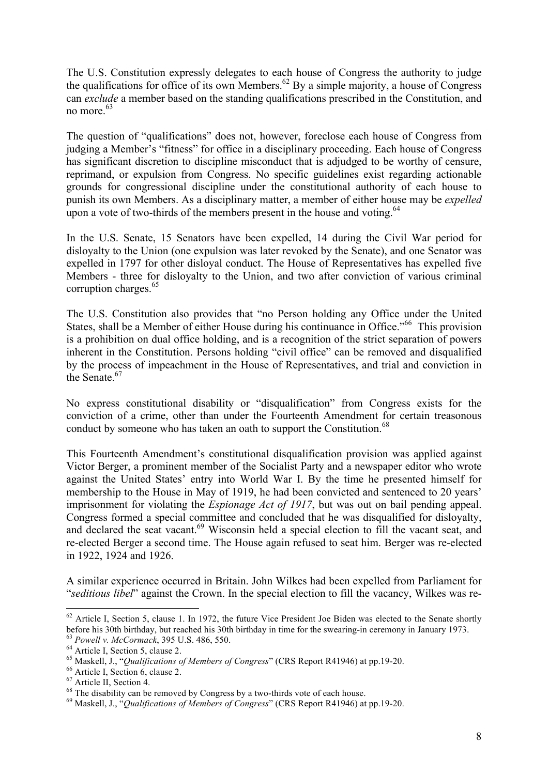The U.S. Constitution expressly delegates to each house of Congress the authority to judge the qualifications for office of its own Members.<sup>62</sup> By a simple majority, a house of Congress can *exclude* a member based on the standing qualifications prescribed in the Constitution, and no more.<sup>63</sup>

The question of "qualifications" does not, however, foreclose each house of Congress from judging a Member's "fitness" for office in a disciplinary proceeding. Each house of Congress has significant discretion to discipline misconduct that is adjudged to be worthy of censure, reprimand, or expulsion from Congress. No specific guidelines exist regarding actionable grounds for congressional discipline under the constitutional authority of each house to punish its own Members. As a disciplinary matter, a member of either house may be *expelled* upon a vote of two-thirds of the members present in the house and voting. $64$ 

In the U.S. Senate, 15 Senators have been expelled, 14 during the Civil War period for disloyalty to the Union (one expulsion was later revoked by the Senate), and one Senator was expelled in 1797 for other disloyal conduct. The House of Representatives has expelled five Members - three for disloyalty to the Union, and two after conviction of various criminal corruption charges.<sup>65</sup>

The U.S. Constitution also provides that "no Person holding any Office under the United States, shall be a Member of either House during his continuance in Office."<sup>66</sup> This provision is a prohibition on dual office holding, and is a recognition of the strict separation of powers inherent in the Constitution. Persons holding "civil office" can be removed and disqualified by the process of impeachment in the House of Representatives, and trial and conviction in the Senate<sup>67</sup>

No express constitutional disability or "disqualification" from Congress exists for the conviction of a crime, other than under the Fourteenth Amendment for certain treasonous conduct by someone who has taken an oath to support the Constitution.<sup>68</sup>

This Fourteenth Amendment's constitutional disqualification provision was applied against Victor Berger, a prominent member of the Socialist Party and a newspaper editor who wrote against the United States' entry into World War I. By the time he presented himself for membership to the House in May of 1919, he had been convicted and sentenced to 20 years' imprisonment for violating the *Espionage Act of 1917*, but was out on bail pending appeal. Congress formed a special committee and concluded that he was disqualified for disloyalty, and declared the seat vacant.<sup>69</sup> Wisconsin held a special election to fill the vacant seat, and re-elected Berger a second time. The House again refused to seat him. Berger was re-elected in 1922, 1924 and 1926.

A similar experience occurred in Britain. John Wilkes had been expelled from Parliament for "*seditious libel*" against the Crown. In the special election to fill the vacancy, Wilkes was re-

 $62$  Article I, Section 5, clause 1. In 1972, the future Vice President Joe Biden was elected to the Senate shortly before his 30th birthday, but reached his 30th birthday in time for the swearing-in ceremony in January 1

<sup>&</sup>lt;sup>63</sup> *Powell v. McCormack*, 395 U.S. 486, 550.<br>
<sup>64</sup> Article I, Section 5, clause 2.<br>
<sup>65</sup> Maskell, J., "*Qualifications of Members of Congress*" (CRS Report R41946) at pp.19-20.<br>
<sup>66</sup> Article I, Section 6, clause 2.<br>
<sup>67</sup>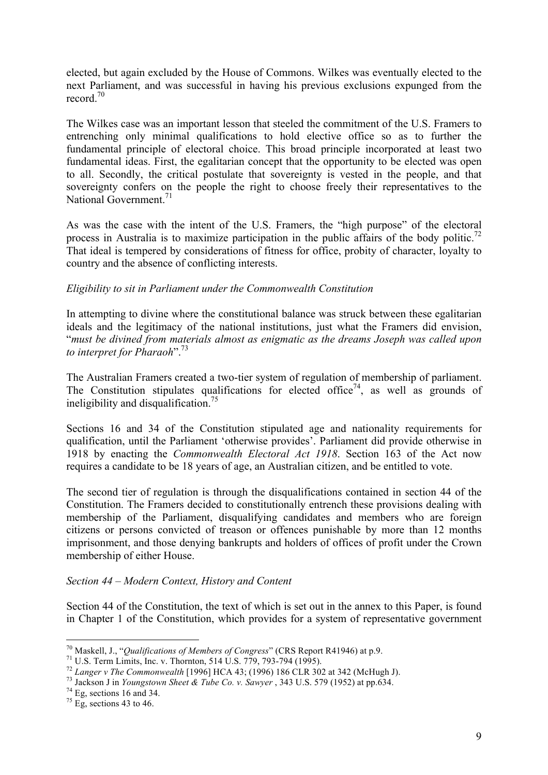elected, but again excluded by the House of Commons. Wilkes was eventually elected to the next Parliament, and was successful in having his previous exclusions expunged from the record<sup>70</sup>

The Wilkes case was an important lesson that steeled the commitment of the U.S. Framers to entrenching only minimal qualifications to hold elective office so as to further the fundamental principle of electoral choice. This broad principle incorporated at least two fundamental ideas. First, the egalitarian concept that the opportunity to be elected was open to all. Secondly, the critical postulate that sovereignty is vested in the people, and that sovereignty confers on the people the right to choose freely their representatives to the National Government<sup> $71$ </sup>

As was the case with the intent of the U.S. Framers, the "high purpose" of the electoral process in Australia is to maximize participation in the public affairs of the body politic.<sup>72</sup> That ideal is tempered by considerations of fitness for office, probity of character, loyalty to country and the absence of conflicting interests.

### *Eligibility to sit in Parliament under the Commonwealth Constitution*

In attempting to divine where the constitutional balance was struck between these egalitarian ideals and the legitimacy of the national institutions, just what the Framers did envision, "*must be divined from materials almost as enigmatic as the dreams Joseph was called upon to interpret for Pharaoh*".73

The Australian Framers created a two-tier system of regulation of membership of parliament. The Constitution stipulates qualifications for elected office<sup>74</sup>, as well as grounds of ineligibility and disqualification.<sup>75</sup>

Sections 16 and 34 of the Constitution stipulated age and nationality requirements for qualification, until the Parliament 'otherwise provides'. Parliament did provide otherwise in 1918 by enacting the *Commonwealth Electoral Act 1918*. Section 163 of the Act now requires a candidate to be 18 years of age, an Australian citizen, and be entitled to vote.

The second tier of regulation is through the disqualifications contained in section 44 of the Constitution. The Framers decided to constitutionally entrench these provisions dealing with membership of the Parliament, disqualifying candidates and members who are foreign citizens or persons convicted of treason or offences punishable by more than 12 months imprisonment, and those denying bankrupts and holders of offices of profit under the Crown membership of either House.

#### *Section 44 – Modern Context, History and Content*

Section 44 of the Constitution, the text of which is set out in the annex to this Paper, is found in Chapter 1 of the Constitution, which provides for a system of representative government

<sup>&</sup>lt;sup>70</sup> Maskell, J., "*Qualifications of Members of Congress*" (CRS Report R41946) at p.9.<br><sup>71</sup> U.S. Term Limits, Inc. v. Thornton, 514 U.S. 779, 793-794 (1995).<br><sup>72</sup> Langer v The Commonwealth [1996] HCA 43; (1996) 186 CLR 3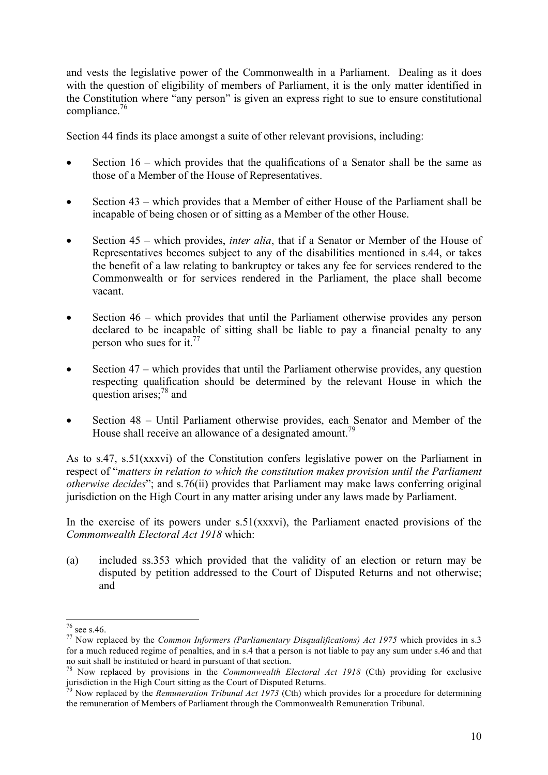and vests the legislative power of the Commonwealth in a Parliament. Dealing as it does with the question of eligibility of members of Parliament, it is the only matter identified in the Constitution where "any person" is given an express right to sue to ensure constitutional compliance. 76

Section 44 finds its place amongst a suite of other relevant provisions, including:

- Section  $16$  which provides that the qualifications of a Senator shall be the same as those of a Member of the House of Representatives.
- Section 43 which provides that a Member of either House of the Parliament shall be incapable of being chosen or of sitting as a Member of the other House.
- Section 45 which provides, *inter alia*, that if a Senator or Member of the House of Representatives becomes subject to any of the disabilities mentioned in s.44, or takes the benefit of a law relating to bankruptcy or takes any fee for services rendered to the Commonwealth or for services rendered in the Parliament, the place shall become vacant.
- Section 46 which provides that until the Parliament otherwise provides any person declared to be incapable of sitting shall be liable to pay a financial penalty to any person who sues for it. $77$
- Section 47 which provides that until the Parliament otherwise provides, any question respecting qualification should be determined by the relevant House in which the question arises;<sup>78</sup> and
- Section 48 Until Parliament otherwise provides, each Senator and Member of the House shall receive an allowance of a designated amount.<sup>79</sup>

As to s.47, s.51(xxxvi) of the Constitution confers legislative power on the Parliament in respect of "*matters in relation to which the constitution makes provision until the Parliament otherwise decides*"; and s.76(ii) provides that Parliament may make laws conferring original jurisdiction on the High Court in any matter arising under any laws made by Parliament.

In the exercise of its powers under  $s.51(xxxv)$ , the Parliament enacted provisions of the *Commonwealth Electoral Act 1918* which:

(a) included ss.353 which provided that the validity of an election or return may be disputed by petition addressed to the Court of Disputed Returns and not otherwise; and

<sup>&</sup>lt;sup>76</sup> see s.46.<br><sup>77</sup> Now replaced by the *Common Informers (Parliamentary Disqualifications) Act 1975* which provides in s.3 for a much reduced regime of penalties, and in s.4 that a person is not liable to pay any sum under s.46 and that no suit shall be instituted or heard in pursuant of that section.

<sup>78</sup> Now replaced by provisions in the *Commonwealth Electoral Act 1918* (Cth) providing for exclusive jurisdiction in the High Court sitting as the Court of Disputed Returns.

<sup>79</sup> Now replaced by the *Remuneration Tribunal Act 1973* (Cth) which provides for a procedure for determining the remuneration of Members of Parliament through the Commonwealth Remuneration Tribunal.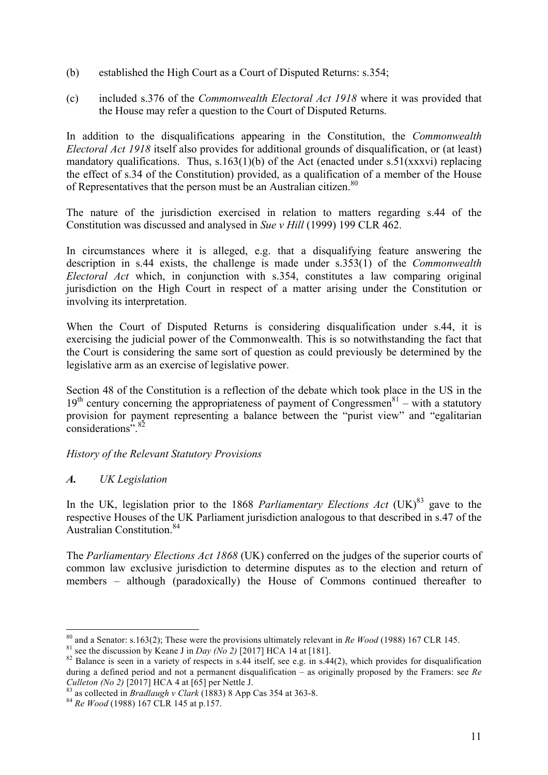- (b) established the High Court as a Court of Disputed Returns: s.354;
- (c) included s.376 of the *Commonwealth Electoral Act 1918* where it was provided that the House may refer a question to the Court of Disputed Returns.

In addition to the disqualifications appearing in the Constitution, the *Commonwealth Electoral Act 1918* itself also provides for additional grounds of disqualification, or (at least) mandatory qualifications. Thus,  $s.163(1)(b)$  of the Act (enacted under  $s.51(xxxv)$ ) replacing the effect of s.34 of the Constitution) provided, as a qualification of a member of the House of Representatives that the person must be an Australian citizen.<sup>80</sup>

The nature of the jurisdiction exercised in relation to matters regarding s.44 of the Constitution was discussed and analysed in *Sue v Hill* (1999) 199 CLR 462.

In circumstances where it is alleged, e.g. that a disqualifying feature answering the description in s.44 exists, the challenge is made under s.353(1) of the *Commonwealth Electoral Act* which, in conjunction with s.354, constitutes a law comparing original jurisdiction on the High Court in respect of a matter arising under the Constitution or involving its interpretation.

When the Court of Disputed Returns is considering disqualification under s.44, it is exercising the judicial power of the Commonwealth. This is so notwithstanding the fact that the Court is considering the same sort of question as could previously be determined by the legislative arm as an exercise of legislative power.

Section 48 of the Constitution is a reflection of the debate which took place in the US in the  $19<sup>th</sup>$  century concerning the appropriateness of payment of Congressmen<sup>81</sup> – with a statutory provision for payment representing a balance between the "purist view" and "egalitarian considerations".<sup>82</sup>

# *History of the Relevant Statutory Provisions*

# *A. UK Legislation*

In the UK, legislation prior to the 1868 *Parliamentary Elections Act*  $(UK)^{83}$  gave to the respective Houses of the UK Parliament jurisdiction analogous to that described in s.47 of the Australian Constitution<sup>84</sup>

The *Parliamentary Elections Act 1868* (UK) conferred on the judges of the superior courts of common law exclusive jurisdiction to determine disputes as to the election and return of members – although (paradoxically) the House of Commons continued thereafter to

<sup>&</sup>lt;sup>80</sup> and a Senator: s.163(2); These were the provisions ultimately relevant in Re Wood (1988) 167 CLR 145.<br><sup>81</sup> see the discussion by Keane J in Day (No 2) [2017] HCA 14 at [181].<br><sup>82</sup> Balance is seen in a variety of resp

during a defined period and not a permanent disqualification – as originally proposed by the Framers: see *Re Culleton* (*No 2*) [2017] HCA 4 at [65] per Nettle J.

<sup>&</sup>lt;sup>83</sup> as collected in *Bradlaugh v Clark* (1883) 8 App Cas 354 at 363-8. <sup>84</sup> *Re Wood* (1988) 167 CLR 145 at p.157.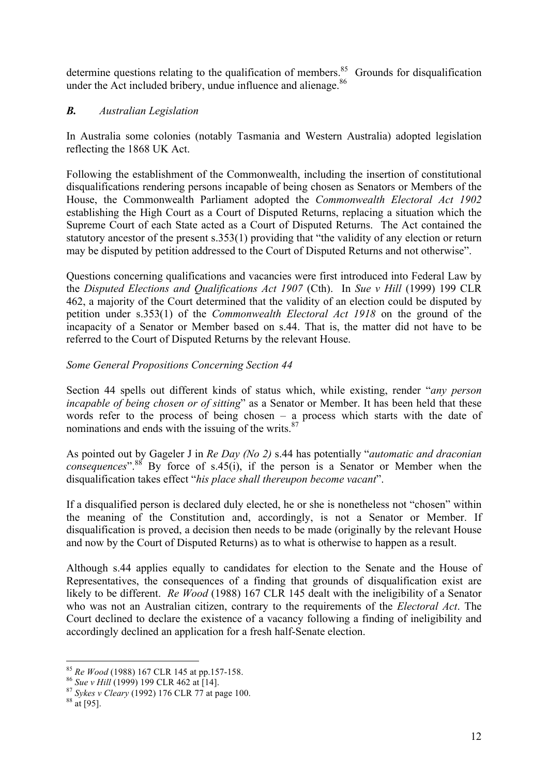determine questions relating to the qualification of members.<sup>85</sup> Grounds for disqualification under the Act included bribery, undue influence and alienage.<sup>86</sup>

# *B. Australian Legislation*

In Australia some colonies (notably Tasmania and Western Australia) adopted legislation reflecting the 1868 UK Act.

Following the establishment of the Commonwealth, including the insertion of constitutional disqualifications rendering persons incapable of being chosen as Senators or Members of the House, the Commonwealth Parliament adopted the *Commonwealth Electoral Act 1902* establishing the High Court as a Court of Disputed Returns, replacing a situation which the Supreme Court of each State acted as a Court of Disputed Returns. The Act contained the statutory ancestor of the present s.353(1) providing that "the validity of any election or return may be disputed by petition addressed to the Court of Disputed Returns and not otherwise".

Questions concerning qualifications and vacancies were first introduced into Federal Law by the *Disputed Elections and Qualifications Act 1907* (Cth). In *Sue v Hill* (1999) 199 CLR 462, a majority of the Court determined that the validity of an election could be disputed by petition under s.353(1) of the *Commonwealth Electoral Act 1918* on the ground of the incapacity of a Senator or Member based on s.44. That is, the matter did not have to be referred to the Court of Disputed Returns by the relevant House.

# *Some General Propositions Concerning Section 44*

Section 44 spells out different kinds of status which, while existing, render "*any person incapable of being chosen or of sitting*" as a Senator or Member. It has been held that these words refer to the process of being chosen – a process which starts with the date of nominations and ends with the issuing of the writs. $87$ 

As pointed out by Gageler J in *Re Day (No 2)* s.44 has potentially "*automatic and draconian consequences*".<sup>88</sup> By force of s.45(i), if the person is a Senator or Member when the disqualification takes effect "*his place shall thereupon become vacant*".

If a disqualified person is declared duly elected, he or she is nonetheless not "chosen" within the meaning of the Constitution and, accordingly, is not a Senator or Member. If disqualification is proved, a decision then needs to be made (originally by the relevant House and now by the Court of Disputed Returns) as to what is otherwise to happen as a result.

Although s.44 applies equally to candidates for election to the Senate and the House of Representatives, the consequences of a finding that grounds of disqualification exist are likely to be different. *Re Wood* (1988) 167 CLR 145 dealt with the ineligibility of a Senator who was not an Australian citizen, contrary to the requirements of the *Electoral Act*. The Court declined to declare the existence of a vacancy following a finding of ineligibility and accordingly declined an application for a fresh half-Senate election.

<sup>85</sup> *Re Wood* (1988) 167 CLR 145 at pp.157-158. <sup>86</sup> *Sue v Hill* (1999) 199 CLR 462 at [14]. <sup>87</sup> *Sykes v Cleary* (1992) 176 CLR 77 at page 100. 88 at [95].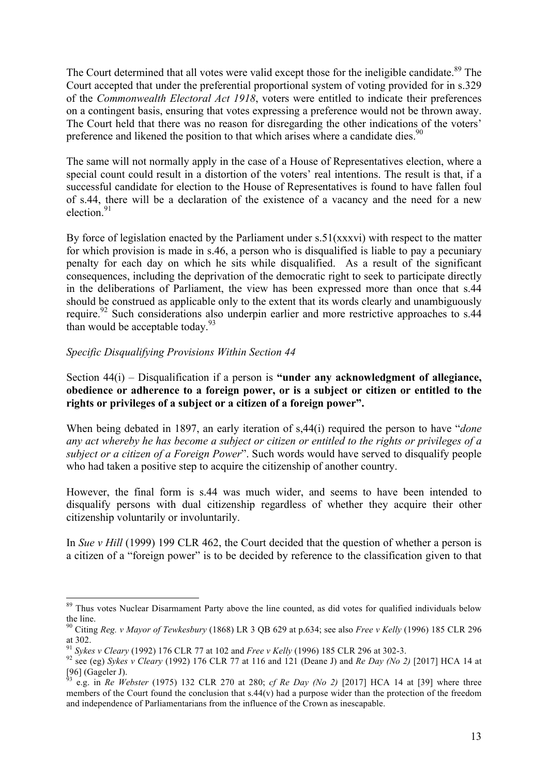The Court determined that all votes were valid except those for the ineligible candidate.<sup>89</sup> The Court accepted that under the preferential proportional system of voting provided for in s.329 of the *Commonwealth Electoral Act 1918*, voters were entitled to indicate their preferences on a contingent basis, ensuring that votes expressing a preference would not be thrown away. The Court held that there was no reason for disregarding the other indications of the voters' preference and likened the position to that which arises where a candidate dies.<sup>90</sup>

The same will not normally apply in the case of a House of Representatives election, where a special count could result in a distortion of the voters' real intentions. The result is that, if a successful candidate for election to the House of Representatives is found to have fallen foul of s.44, there will be a declaration of the existence of a vacancy and the need for a new election.<sup>91</sup>

By force of legislation enacted by the Parliament under s.51(xxxvi) with respect to the matter for which provision is made in s.46, a person who is disqualified is liable to pay a pecuniary penalty for each day on which he sits while disqualified. As a result of the significant consequences, including the deprivation of the democratic right to seek to participate directly in the deliberations of Parliament, the view has been expressed more than once that s.44 should be construed as applicable only to the extent that its words clearly and unambiguously require.<sup>92</sup> Such considerations also underpin earlier and more restrictive approaches to s.44 than would be acceptable today. $93$ 

# *Specific Disqualifying Provisions Within Section 44*

Section 44(i) – Disqualification if a person is **"under any acknowledgment of allegiance, obedience or adherence to a foreign power, or is a subject or citizen or entitled to the rights or privileges of a subject or a citizen of a foreign power".**

When being debated in 1897, an early iteration of s,44(i) required the person to have "*done any act whereby he has become a subject or citizen or entitled to the rights or privileges of a subject or a citizen of a Foreign Power*". Such words would have served to disqualify people who had taken a positive step to acquire the citizenship of another country.

However, the final form is s.44 was much wider, and seems to have been intended to disqualify persons with dual citizenship regardless of whether they acquire their other citizenship voluntarily or involuntarily.

In *Sue v Hill* (1999) 199 CLR 462, the Court decided that the question of whether a person is a citizen of a "foreign power" is to be decided by reference to the classification given to that

<sup>&</sup>lt;sup>89</sup> Thus votes Nuclear Disarmament Party above the line counted, as did votes for qualified individuals below the line.

<sup>90</sup> Citing *Reg. v Mayor of Tewkesbury* (1868) LR 3 QB 629 at p.634; see also *Free v Kelly* (1996) 185 CLR 296 at 302.<br><sup>91</sup> Sykes v Cleary (1992) 176 CLR 77 at 102 and *Free v Kelly* (1996) 185 CLR 296 at 302-3.

<sup>&</sup>lt;sup>92</sup> see (eg) Sykes v Cleary (1992) 176 CLR 77 at 116 and 121 (Deane J) and *Re Day (No 2)* [2017] HCA 14 at  $[96]$  (Gageler J).

<sup>93</sup> e.g. in *Re Webster* (1975) 132 CLR 270 at 280; *cf Re Day (No 2)* [2017] HCA 14 at [39] where three members of the Court found the conclusion that s.44(v) had a purpose wider than the protection of the freedom and independence of Parliamentarians from the influence of the Crown as inescapable.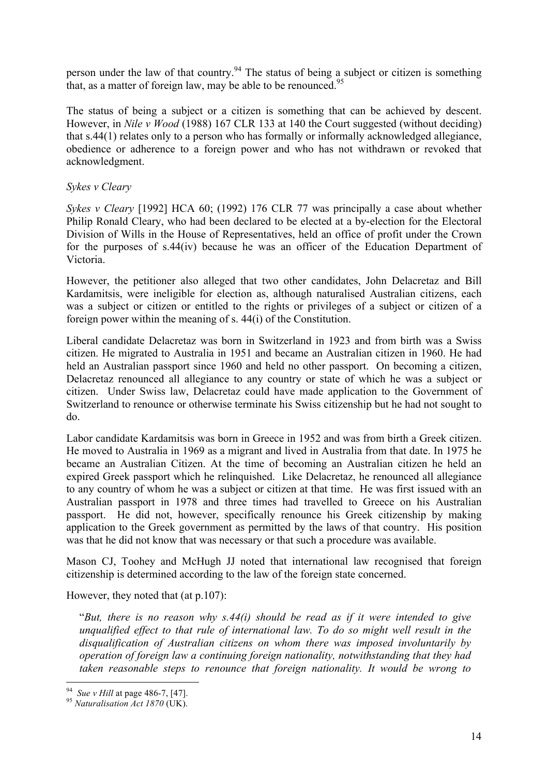person under the law of that country.<sup>94</sup> The status of being a subject or citizen is something that, as a matter of foreign law, may be able to be renounced.<sup>95</sup>

The status of being a subject or a citizen is something that can be achieved by descent. However, in *Nile v Wood* (1988) 167 CLR 133 at 140 the Court suggested (without deciding) that s.44(1) relates only to a person who has formally or informally acknowledged allegiance, obedience or adherence to a foreign power and who has not withdrawn or revoked that acknowledgment.

### *Sykes v Cleary*

*Sykes v Cleary* [1992] HCA 60; (1992) 176 CLR 77 was principally a case about whether Philip Ronald Cleary, who had been declared to be elected at a by-election for the Electoral Division of Wills in the House of Representatives, held an office of profit under the Crown for the purposes of s.44(iv) because he was an officer of the Education Department of Victoria.

However, the petitioner also alleged that two other candidates, John Delacretaz and Bill Kardamitsis, were ineligible for election as, although naturalised Australian citizens, each was a subject or citizen or entitled to the rights or privileges of a subject or citizen of a foreign power within the meaning of s. 44(i) of the Constitution.

Liberal candidate Delacretaz was born in Switzerland in 1923 and from birth was a Swiss citizen. He migrated to Australia in 1951 and became an Australian citizen in 1960. He had held an Australian passport since 1960 and held no other passport. On becoming a citizen, Delacretaz renounced all allegiance to any country or state of which he was a subject or citizen. Under Swiss law, Delacretaz could have made application to the Government of Switzerland to renounce or otherwise terminate his Swiss citizenship but he had not sought to do.

Labor candidate Kardamitsis was born in Greece in 1952 and was from birth a Greek citizen. He moved to Australia in 1969 as a migrant and lived in Australia from that date. In 1975 he became an Australian Citizen. At the time of becoming an Australian citizen he held an expired Greek passport which he relinquished. Like Delacretaz, he renounced all allegiance to any country of whom he was a subject or citizen at that time. He was first issued with an Australian passport in 1978 and three times had travelled to Greece on his Australian passport. He did not, however, specifically renounce his Greek citizenship by making application to the Greek government as permitted by the laws of that country. His position was that he did not know that was necessary or that such a procedure was available.

Mason CJ, Toohey and McHugh JJ noted that international law recognised that foreign citizenship is determined according to the law of the foreign state concerned.

However, they noted that (at p.107):

"*But, there is no reason why s.44(i) should be read as if it were intended to give unqualified effect to that rule of international law. To do so might well result in the disqualification of Australian citizens on whom there was imposed involuntarily by operation of foreign law a continuing foreign nationality, notwithstanding that they had taken reasonable steps to renounce that foreign nationality. It would be wrong to* 

<sup>94</sup>*Sue v Hill* at page 486-7, [47]. <sup>95</sup> *Naturalisation Act 1870* (UK).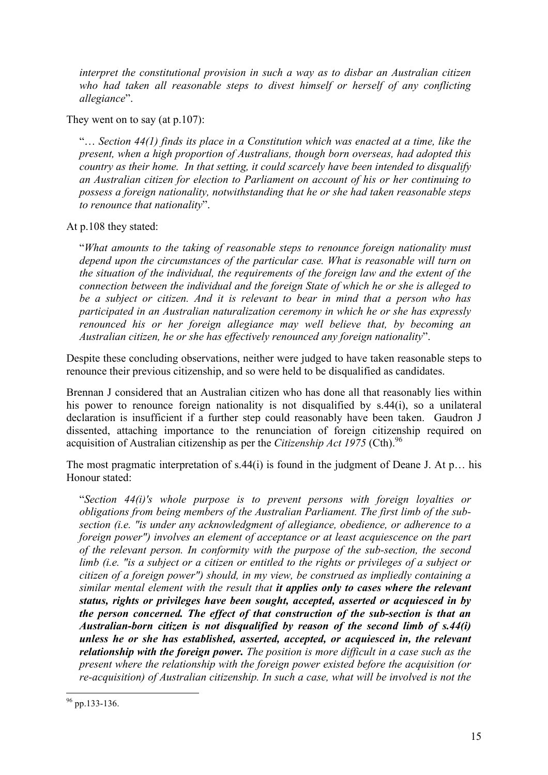*interpret the constitutional provision in such a way as to disbar an Australian citizen*  who had taken all reasonable steps to divest himself or herself of any conflicting *allegiance*".

They went on to say (at p.107):

"… *Section 44(1) finds its place in a Constitution which was enacted at a time, like the present, when a high proportion of Australians, though born overseas, had adopted this country as their home. In that setting, it could scarcely have been intended to disqualify an Australian citizen for election to Parliament on account of his or her continuing to possess a foreign nationality, notwithstanding that he or she had taken reasonable steps to renounce that nationality*".

At p.108 they stated:

"*What amounts to the taking of reasonable steps to renounce foreign nationality must depend upon the circumstances of the particular case. What is reasonable will turn on the situation of the individual, the requirements of the foreign law and the extent of the connection between the individual and the foreign State of which he or she is alleged to be a subject or citizen. And it is relevant to bear in mind that a person who has participated in an Australian naturalization ceremony in which he or she has expressly renounced his or her foreign allegiance may well believe that, by becoming an Australian citizen, he or she has effectively renounced any foreign nationality*".

Despite these concluding observations, neither were judged to have taken reasonable steps to renounce their previous citizenship, and so were held to be disqualified as candidates.

Brennan J considered that an Australian citizen who has done all that reasonably lies within his power to renounce foreign nationality is not disqualified by s.44(i), so a unilateral declaration is insufficient if a further step could reasonably have been taken. Gaudron J dissented, attaching importance to the renunciation of foreign citizenship required on acquisition of Australian citizenship as per the *Citizenship Act 1975* (Cth). 96

The most pragmatic interpretation of s.44(i) is found in the judgment of Deane J. At p... his Honour stated:

"*Section 44(i)'s whole purpose is to prevent persons with foreign loyalties or obligations from being members of the Australian Parliament. The first limb of the subsection (i.e. "is under any acknowledgment of allegiance, obedience, or adherence to a foreign power") involves an element of acceptance or at least acquiescence on the part of the relevant person. In conformity with the purpose of the sub-section, the second limb (i.e. "is a subject or a citizen or entitled to the rights or privileges of a subject or citizen of a foreign power") should, in my view, be construed as impliedly containing a similar mental element with the result that it applies only to cases where the relevant status, rights or privileges have been sought, accepted, asserted or acquiesced in by the person concerned. The effect of that construction of the sub-section is that an Australian-born citizen is not disqualified by reason of the second limb of s.44(i) unless he or she has established, asserted, accepted, or acquiesced in, the relevant relationship with the foreign power. The position is more difficult in a case such as the present where the relationship with the foreign power existed before the acquisition (or re-acquisition) of Australian citizenship. In such a case, what will be involved is not the* 

 <sup>96</sup> pp.133-136.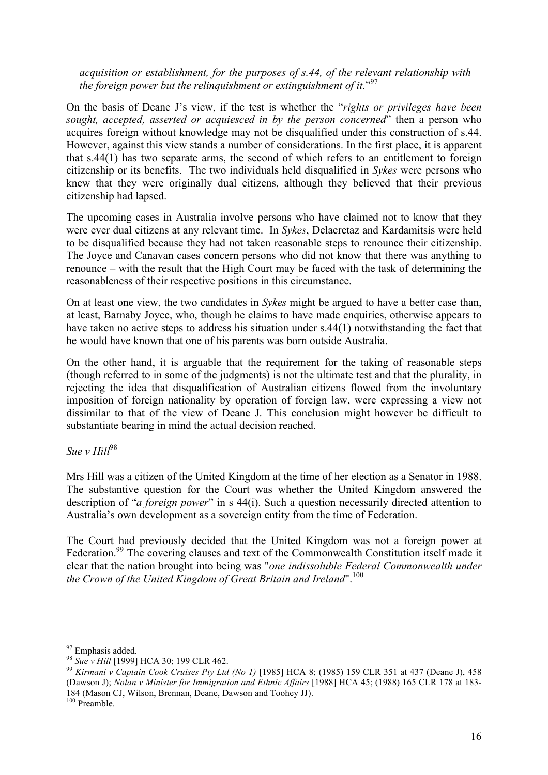*acquisition or establishment, for the purposes of s.44, of the relevant relationship with*  the foreign power but the relinquishment or extinguishment of it."<sup>97</sup>

On the basis of Deane J's view, if the test is whether the "*rights or privileges have been sought, accepted, asserted or acquiesced in by the person concerned*" then a person who acquires foreign without knowledge may not be disqualified under this construction of s.44. However, against this view stands a number of considerations. In the first place, it is apparent that s.44(1) has two separate arms, the second of which refers to an entitlement to foreign citizenship or its benefits. The two individuals held disqualified in *Sykes* were persons who knew that they were originally dual citizens, although they believed that their previous citizenship had lapsed.

The upcoming cases in Australia involve persons who have claimed not to know that they were ever dual citizens at any relevant time. In *Sykes*, Delacretaz and Kardamitsis were held to be disqualified because they had not taken reasonable steps to renounce their citizenship. The Joyce and Canavan cases concern persons who did not know that there was anything to renounce – with the result that the High Court may be faced with the task of determining the reasonableness of their respective positions in this circumstance.

On at least one view, the two candidates in *Sykes* might be argued to have a better case than, at least, Barnaby Joyce, who, though he claims to have made enquiries, otherwise appears to have taken no active steps to address his situation under s.44(1) notwithstanding the fact that he would have known that one of his parents was born outside Australia.

On the other hand, it is arguable that the requirement for the taking of reasonable steps (though referred to in some of the judgments) is not the ultimate test and that the plurality, in rejecting the idea that disqualification of Australian citizens flowed from the involuntary imposition of foreign nationality by operation of foreign law, were expressing a view not dissimilar to that of the view of Deane J. This conclusion might however be difficult to substantiate bearing in mind the actual decision reached.

 $S_{\mu\rho}$  *v Hill*<sup>98</sup>

Mrs Hill was a citizen of the United Kingdom at the time of her election as a Senator in 1988. The substantive question for the Court was whether the United Kingdom answered the description of "*a foreign power*" in s 44(i). Such a question necessarily directed attention to Australia's own development as a sovereign entity from the time of Federation.

The Court had previously decided that the United Kingdom was not a foreign power at Federation.<sup>99</sup> The covering clauses and text of the Commonwealth Constitution itself made it clear that the nation brought into being was "*one indissoluble Federal Commonwealth under the Crown of the United Kingdom of Great Britain and Ireland*".<sup>100</sup>

<sup>97</sup> Emphasis added. 98 *Sue v Hill* [1999] HCA 30; 199 CLR 462. <sup>99</sup> *Kirmani v Captain Cook Cruises Pty Ltd (No 1)* [1985] HCA 8; (1985) 159 CLR 351 at 437 (Deane J), 458 (Dawson J); *Nolan v Minister for Immigration and Ethnic Affairs* [1988] HCA 45; (1988) 165 CLR 178 at 183- 184 (Mason CJ, Wilson, Brennan, Deane, Dawson and Toohey JJ). <sup>100</sup> Preamble.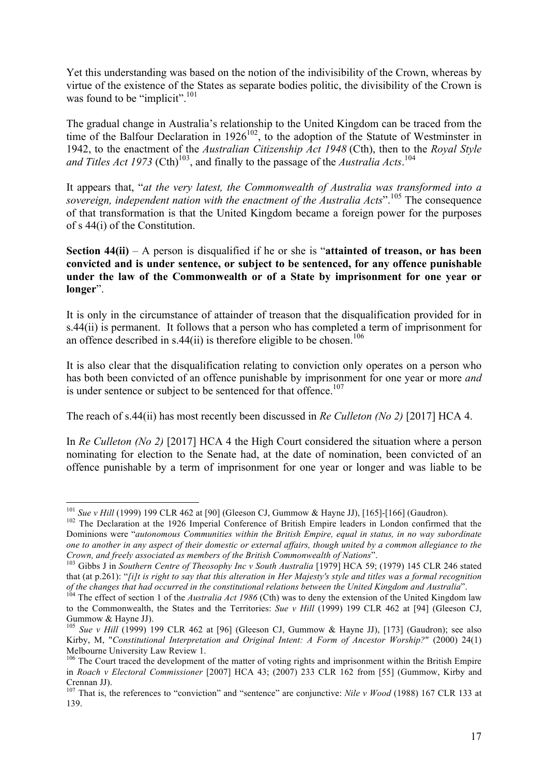Yet this understanding was based on the notion of the indivisibility of the Crown, whereas by virtue of the existence of the States as separate bodies politic, the divisibility of the Crown is was found to be "implicit".<sup>101</sup>

The gradual change in Australia's relationship to the United Kingdom can be traced from the time of the Balfour Declaration in  $1926^{102}$ , to the adoption of the Statute of Westminster in 1942, to the enactment of the *Australian Citizenship Act 1948* (Cth), then to the *Royal Style*  and Titles Act 1973 (Cth)<sup>103</sup>, and finally to the passage of the *Australia Acts*.<sup>104</sup>

It appears that, "*at the very latest, the Commonwealth of Australia was transformed into a sovereign, independent nation with the enactment of the Australia Acts*".<sup>105</sup> The consequence of that transformation is that the United Kingdom became a foreign power for the purposes of s 44(i) of the Constitution.

**Section 44(ii)** – A person is disqualified if he or she is "**attainted of treason, or has been convicted and is under sentence, or subject to be sentenced, for any offence punishable under the law of the Commonwealth or of a State by imprisonment for one year or longer**".

It is only in the circumstance of attainder of treason that the disqualification provided for in s.44(ii) is permanent. It follows that a person who has completed a term of imprisonment for an offence described in s.44(ii) is therefore eligible to be chosen.<sup>106</sup>

It is also clear that the disqualification relating to conviction only operates on a person who has both been convicted of an offence punishable by imprisonment for one year or more *and* is under sentence or subject to be sentenced for that offence.<sup>107</sup>

The reach of s.44(ii) has most recently been discussed in *Re Culleton (No 2)* [2017] HCA 4.

In *Re Culleton (No 2)* [2017] HCA 4 the High Court considered the situation where a person nominating for election to the Senate had, at the date of nomination, been convicted of an offence punishable by a term of imprisonment for one year or longer and was liable to be

<sup>&</sup>lt;sup>101</sup> *Sue v Hill* (1999) 199 CLR 462 at [90] (Gleeson CJ, Gummow & Hayne JJ), [165]-[166] (Gaudron). <sup>102</sup> The Declaration at the 1926 Imperial Conference of British Empire leaders in London confirmed that the Dominions were "*autonomous Communities within the British Empire, equal in status, in no way subordinate one to another in any aspect of their domestic or external affairs, though united by a common allegiance to the* 

*Crown, and freely associated as members of the British Commonwealth of Nations*". <sup>103</sup> Gibbs J in *Southern Centre of Theosophy Inc v South Australia* [1979] HCA 59; (1979) 145 CLR 246 stated that (at p.261): "*[i]t is right to say that this alteration in Her Majesty's style and titles was a formal recognition*  of the changes that had occurred in the constitutional relations between the United Kingdom and Australia".<br><sup>104</sup> The effect of section 1 of the *Australia Act 1986* (Cth) was to deny the extension of the United Kingdom la

to the Commonwealth, the States and the Territories: *Sue v Hill* (1999) 199 CLR 462 at [94] (Gleeson CJ, Gummow & Hayne JJ).

<sup>&</sup>lt;sup>105</sup> Sue v Hill (1999) 199 CLR 462 at [96] (Gleeson CJ, Gummow & Hayne JJ), [173] (Gaudron); see also Kirby, M, "*Constitutional Interpretation and Original Intent: A Form of Ancestor Worship?*" (2000) 24(1) Melbourne University Law Review 1.<br><sup>106</sup> The Court traced the development of the matter of voting rights and imprisonment within the British Empire

in *Roach v Electoral Commissioner* [2007] HCA 43; (2007) 233 CLR 162 from [55] (Gummow, Kirby and Crennan JJ).

<sup>&</sup>lt;sup>107</sup> That is, the references to "conviction" and "sentence" are conjunctive: *Nile v Wood* (1988) 167 CLR 133 at 139.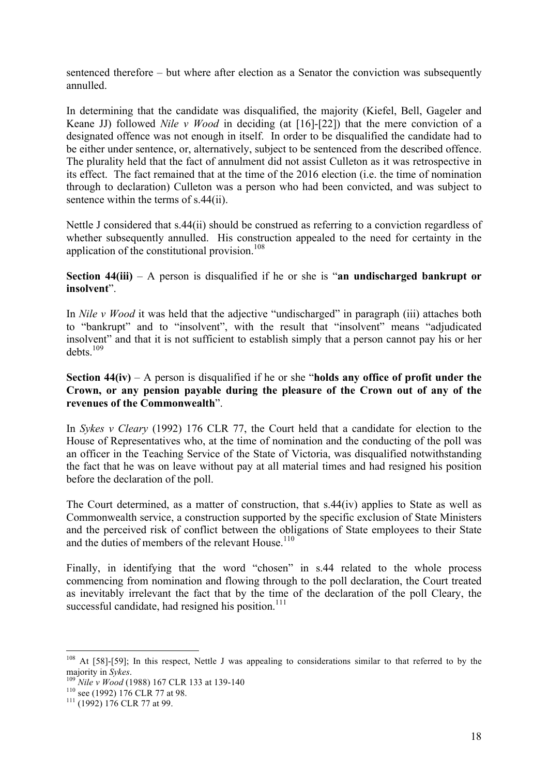sentenced therefore – but where after election as a Senator the conviction was subsequently annulled.

In determining that the candidate was disqualified, the majority (Kiefel, Bell, Gageler and Keane JJ) followed *Nile v Wood* in deciding (at [16]-[22]) that the mere conviction of a designated offence was not enough in itself. In order to be disqualified the candidate had to be either under sentence, or, alternatively, subject to be sentenced from the described offence. The plurality held that the fact of annulment did not assist Culleton as it was retrospective in its effect. The fact remained that at the time of the 2016 election (i.e. the time of nomination through to declaration) Culleton was a person who had been convicted, and was subject to sentence within the terms of s.44(ii).

Nettle J considered that s.44(ii) should be construed as referring to a conviction regardless of whether subsequently annulled. His construction appealed to the need for certainty in the application of the constitutional provision. $108$ 

**Section 44(iii)** – A person is disqualified if he or she is "**an undischarged bankrupt or insolvent**".

In *Nile v Wood* it was held that the adjective "undischarged" in paragraph (iii) attaches both to "bankrupt" and to "insolvent", with the result that "insolvent" means "adjudicated insolvent" and that it is not sufficient to establish simply that a person cannot pay his or her  $debts.$ <sup>109</sup>

**Section 44(iv)** – A person is disqualified if he or she "**holds any office of profit under the Crown, or any pension payable during the pleasure of the Crown out of any of the revenues of the Commonwealth**".

In *Sykes v Cleary* (1992) 176 CLR 77, the Court held that a candidate for election to the House of Representatives who, at the time of nomination and the conducting of the poll was an officer in the Teaching Service of the State of Victoria, was disqualified notwithstanding the fact that he was on leave without pay at all material times and had resigned his position before the declaration of the poll.

The Court determined, as a matter of construction, that s.44(iv) applies to State as well as Commonwealth service, a construction supported by the specific exclusion of State Ministers and the perceived risk of conflict between the obligations of State employees to their State and the duties of members of the relevant House.<sup>110</sup>

Finally, in identifying that the word "chosen" in s.44 related to the whole process commencing from nomination and flowing through to the poll declaration, the Court treated as inevitably irrelevant the fact that by the time of the declaration of the poll Cleary, the successful candidate, had resigned his position.<sup>111</sup>

<sup>&</sup>lt;sup>108</sup> At [58]-[59]; In this respect, Nettle J was appealing to considerations similar to that referred to by the majority in *Sykes*.<br><sup>109</sup> *Nile v Wood* (1988) 167 CLR 133 at 139-140<br><sup>110</sup> see (1992) 176 CLR 77 at 98.<br><sup>111</sup> (1992) 176 CLR 77 at 99.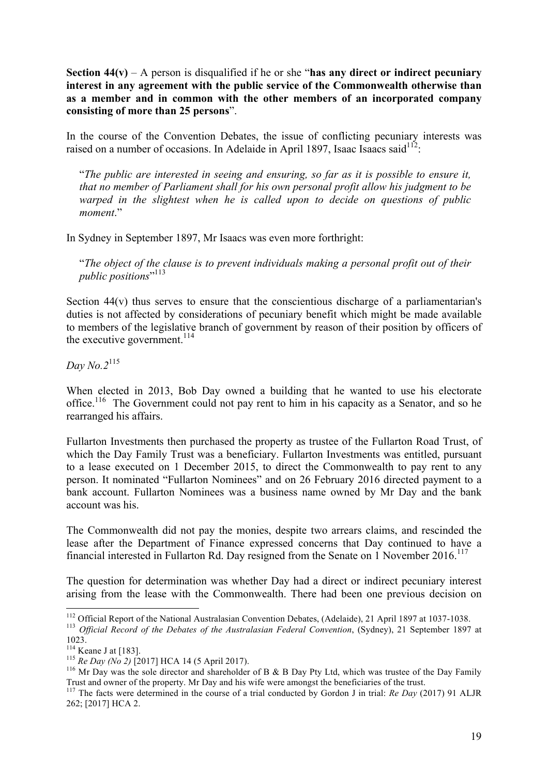**Section 44(v)** – A person is disqualified if he or she "**has any direct or indirect pecuniary interest in any agreement with the public service of the Commonwealth otherwise than as a member and in common with the other members of an incorporated company consisting of more than 25 persons**".

In the course of the Convention Debates, the issue of conflicting pecuniary interests was raised on a number of occasions. In Adelaide in April 1897, Isaac Isaacs said<sup>112</sup>:

"*The public are interested in seeing and ensuring, so far as it is possible to ensure it, that no member of Parliament shall for his own personal profit allow his judgment to be warped in the slightest when he is called upon to decide on questions of public moment*."

In Sydney in September 1897, Mr Isaacs was even more forthright:

"*The object of the clause is to prevent individuals making a personal profit out of their public positions*" 113

Section 44(v) thus serves to ensure that the conscientious discharge of a parliamentarian's duties is not affected by considerations of pecuniary benefit which might be made available to members of the legislative branch of government by reason of their position by officers of the executive government.<sup>114</sup>

*Day No.2*<sup>115</sup>

When elected in 2013, Bob Day owned a building that he wanted to use his electorate office.<sup>116</sup> The Government could not pay rent to him in his capacity as a Senator, and so he rearranged his affairs.

Fullarton Investments then purchased the property as trustee of the Fullarton Road Trust, of which the Day Family Trust was a beneficiary. Fullarton Investments was entitled, pursuant to a lease executed on 1 December 2015, to direct the Commonwealth to pay rent to any person. It nominated "Fullarton Nominees" and on 26 February 2016 directed payment to a bank account. Fullarton Nominees was a business name owned by Mr Day and the bank account was his.

The Commonwealth did not pay the monies, despite two arrears claims, and rescinded the lease after the Department of Finance expressed concerns that Day continued to have a financial interested in Fullarton Rd. Day resigned from the Senate on 1 November 2016.<sup>117</sup>

The question for determination was whether Day had a direct or indirect pecuniary interest arising from the lease with the Commonwealth. There had been one previous decision on

<sup>&</sup>lt;sup>112</sup> Official Report of the National Australasian Convention Debates, (Adelaide), 21 April 1897 at 1037-1038.<br><sup>113</sup> *Official Record of the Debates of the Australasian Federal Convention*, (Sydney), 21 September 1897 at

<sup>1023.&</sup>lt;br><sup>114</sup> Keane J at [183].

<sup>&</sup>lt;sup>115</sup> *Re Day (No 2)* [2017] HCA 14 (5 April 2017).<br><sup>116</sup> Mr Day was the sole director and shareholder of B & B Day Pty Ltd, which was trustee of the Day Family<br>Trust and owner of the property. Mr Day and his wife were am

<sup>&</sup>lt;sup>117</sup> The facts were determined in the course of a trial conducted by Gordon J in trial: *Re Day* (2017) 91 ALJR 262; [2017] HCA 2.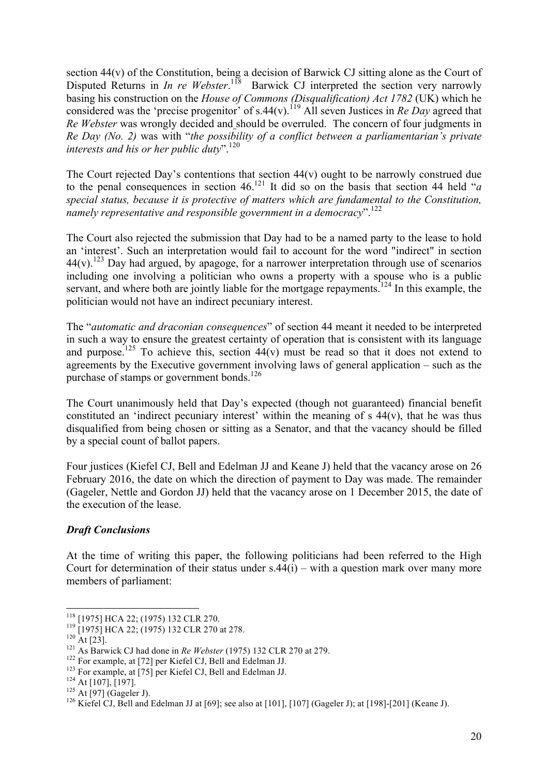section 44(v) of the Constitution, being a decision of Barwick CJ sitting alone as the Court of Disputed Returns in *In re Webster*.<sup>118</sup> Barwick CJ interpreted the section very narrowly basing his construction on the *House of Commons (Disqualification) Act 1782* (UK) which he considered was the 'precise progenitor' of s.44(v).<sup>119</sup> All seven Justices in *Re Day* agreed that *Re Webster* was wrongly decided and should be overruled. The concern of four judgments in *Re Day (No. 2)* was with "*the possibility of a conflict between a parliamentarian's private interests and his or her public duty*". 120

The Court rejected Day's contentions that section  $44(v)$  ought to be narrowly construed due to the penal consequences in section 46.121 It did so on the basis that section 44 held "*a special status, because it is protective of matters which are fundamental to the Constitution, namely representative and responsible government in a democracy*".122

The Court also rejected the submission that Day had to be a named party to the lease to hold an 'interest'. Such an interpretation would fail to account for the word "indirect" in section  $44(v)$ .<sup>123</sup> Day had argued, by apagoge, for a narrower interpretation through use of scenarios including one involving a politician who owns a property with a spouse who is a public servant, and where both are jointly liable for the mortgage repayments.<sup>124</sup> In this example, the politician would not have an indirect pecuniary interest.

The "*automatic and draconian consequences*" of section 44 meant it needed to be interpreted in such a way to ensure the greatest certainty of operation that is consistent with its language and purpose.<sup>125</sup> To achieve this, section  $44(v)$  must be read so that it does not extend to agreements by the Executive government involving laws of general application – such as the purchase of stamps or government bonds.<sup>126</sup>

The Court unanimously held that Day's expected (though not guaranteed) financial benefit constituted an 'indirect pecuniary interest' within the meaning of  $s$  44(v), that he was thus disqualified from being chosen or sitting as a Senator, and that the vacancy should be filled by a special count of ballot papers.

Four justices (Kiefel CJ, Bell and Edelman JJ and Keane J) held that the vacancy arose on 26 February 2016, the date on which the direction of payment to Day was made. The remainder (Gageler, Nettle and Gordon JJ) held that the vacancy arose on 1 December 2015, the date of the execution of the lease.

# *Draft Conclusions*

At the time of writing this paper, the following politicians had been referred to the High Court for determination of their status under  $s.44(i)$  – with a question mark over many more members of parliament:

<sup>&</sup>lt;sup>118</sup> [1975] HCA 22; (1975) 132 CLR 270.<br>
<sup>119</sup> [1975] HCA 22; (1975) 132 CLR 270 at 278.<br>
<sup>120</sup> At [23].<br>
<sup>121</sup> As Barwick CJ had done in *Re Webster* (1975) 132 CLR 270 at 279.<br>
<sup>122</sup> For example, at [72] per Kiefel CJ,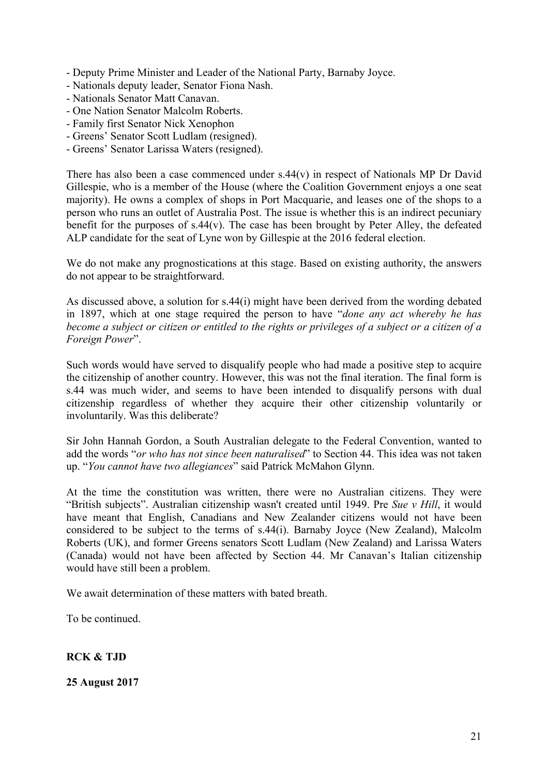- Deputy Prime Minister and Leader of the National Party, Barnaby Joyce.

- Nationals deputy leader, Senator Fiona Nash.
- Nationals Senator Matt Canavan.
- One Nation Senator Malcolm Roberts.
- Family first Senator Nick Xenophon
- Greens' Senator Scott Ludlam (resigned).
- Greens' Senator Larissa Waters (resigned).

There has also been a case commenced under s.44(v) in respect of Nationals MP Dr David Gillespie, who is a member of the House (where the Coalition Government enjoys a one seat majority). He owns a complex of shops in Port Macquarie, and leases one of the shops to a person who runs an outlet of Australia Post. The issue is whether this is an indirect pecuniary benefit for the purposes of s.44(v). The case has been brought by Peter Alley, the defeated ALP candidate for the seat of Lyne won by Gillespie at the 2016 federal election.

We do not make any prognostications at this stage. Based on existing authority, the answers do not appear to be straightforward.

As discussed above, a solution for s.44(i) might have been derived from the wording debated in 1897, which at one stage required the person to have "*done any act whereby he has become a subject or citizen or entitled to the rights or privileges of a subject or a citizen of a Foreign Power*".

Such words would have served to disqualify people who had made a positive step to acquire the citizenship of another country. However, this was not the final iteration. The final form is s.44 was much wider, and seems to have been intended to disqualify persons with dual citizenship regardless of whether they acquire their other citizenship voluntarily or involuntarily. Was this deliberate?

Sir John Hannah Gordon, a South Australian delegate to the Federal Convention, wanted to add the words "*or who has not since been naturalised*" to Section 44. This idea was not taken up. "*You cannot have two allegiances*" said Patrick McMahon Glynn.

At the time the constitution was written, there were no Australian citizens. They were "British subjects". Australian citizenship wasn't created until 1949. Pre *Sue v Hill*, it would have meant that English, Canadians and New Zealander citizens would not have been considered to be subject to the terms of s.44(i). Barnaby Joyce (New Zealand), Malcolm Roberts (UK), and former Greens senators Scott Ludlam (New Zealand) and Larissa Waters (Canada) would not have been affected by Section 44. Mr Canavan's Italian citizenship would have still been a problem.

We await determination of these matters with bated breath.

To be continued.

# **RCK & TJD**

**25 August 2017**